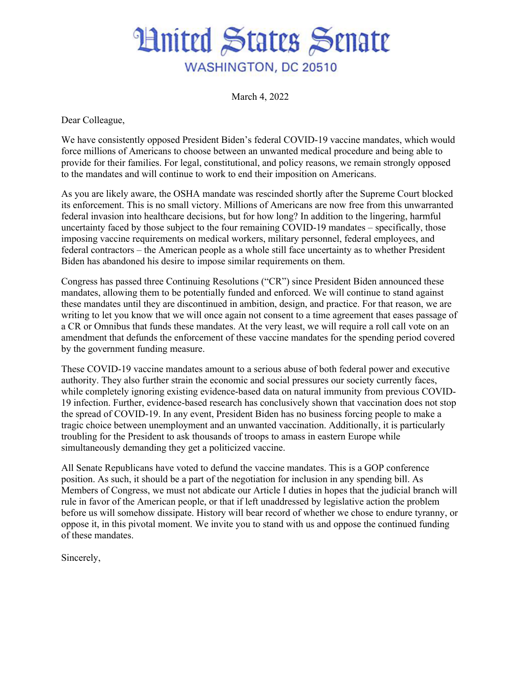## **Hnited States Senate WASHINGTON, DC 20510**

March 4, 2022

Dear Colleague,

We have consistently opposed President Biden's federal COVID-19 vaccine mandates, which would force millions of Americans to choose between an unwanted medical procedure and being able to provide for their families. For legal, constitutional, and policy reasons, we remain strongly opposed to the mandates and will continue to work to end their imposition on Americans.

As you are likely aware, the OSHA mandate was rescinded shortly after the Supreme Court blocked its enforcement. This is no small victory. Millions of Americans are now free from this unwarranted federal invasion into healthcare decisions, but for how long? In addition to the lingering, harmful uncertainty faced by those subject to the four remaining COVID-19 mandates – specifically, those imposing vaccine requirements on medical workers, military personnel, federal employees, and federal contractors – the American people as a whole still face uncertainty as to whether President Biden has abandoned his desire to impose similar requirements on them.

Congress has passed three Continuing Resolutions ("CR") since President Biden announced these mandates, allowing them to be potentially funded and enforced. We will continue to stand against these mandates until they are discontinued in ambition, design, and practice. For that reason, we are writing to let you know that we will once again not consent to a time agreement that eases passage of a CR or Omnibus that funds these mandates. At the very least, we will require a roll call vote on an amendment that defunds the enforcement of these vaccine mandates for the spending period covered by the government funding measure.

These COVID-19 vaccine mandates amount to a serious abuse of both federal power and executive authority. They also further strain the economic and social pressures our society currently faces, while completely ignoring existing evidence-based data on natural immunity from previous COVID-19 infection. Further, evidence-based research has conclusively shown that vaccination does not stop the spread of COVID-19. In any event, President Biden has no business forcing people to make a tragic choice between unemployment and an unwanted vaccination. Additionally, it is particularly troubling for the President to ask thousands of troops to amass in eastern Europe while simultaneously demanding they get a politicized vaccine.

All Senate Republicans have voted to defund the vaccine mandates. This is a GOP conference position. As such, it should be a part of the negotiation for inclusion in any spending bill. As Members of Congress, we must not abdicate our Article I duties in hopes that the judicial branch will rule in favor of the American people, or that if left unaddressed by legislative action the problem before us will somehow dissipate. History will bear record of whether we chose to endure tyranny, or oppose it, in this pivotal moment. We invite you to stand with us and oppose the continued funding of these mandates.

Sincerely,